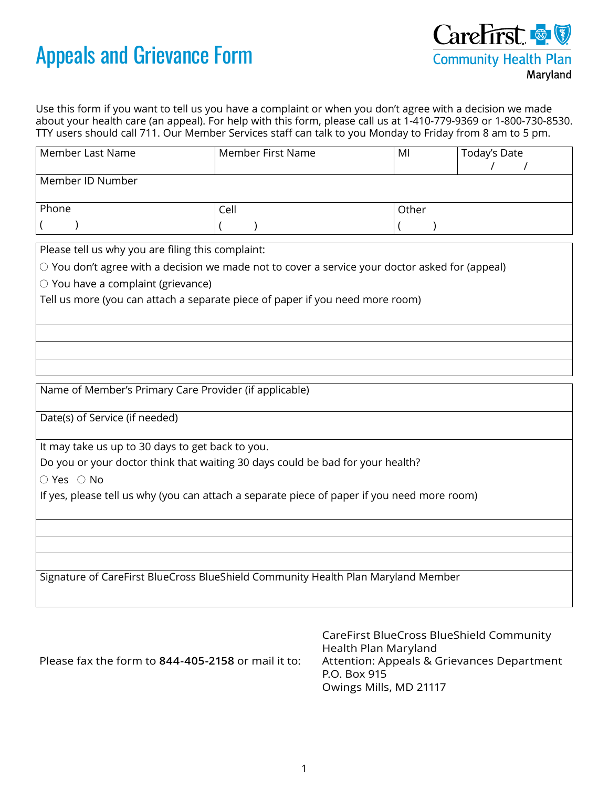## Appeals and Grievance Form



Use this form if you want to tell us you have a complaint or when you don't agree with a decision we made about your health care (an appeal). For help with this form, please call us at 1-410-779-9369 or 1-800-730-8530. TTY users should call 711. Our Member Services staff can talk to you Monday to Friday from 8 am to 5 pm.

| Member Last Name | Member First Name | MI    | Today's Date |
|------------------|-------------------|-------|--------------|
| Member ID Number |                   |       |              |
| Phone            | Cell              | Other |              |
|                  |                   |       |              |

Please tell us why you are filing this complaint:

 $\circlearrowright$  You don't agree with a decision we made not to cover a service your doctor asked for (appeal)

 $\circlearrowright$  You have a complaint (grievance)

Tell us more (you can attach a separate piece of paper if you need more room)

Name of Member's Primary Care Provider (if applicable)

Date(s) of Service (if needed)

It may take us up to 30 days to get back to you.

Do you or your doctor think that waiting 30 days could be bad for your health?

 $\bigcirc$  Yes  $\bigcirc$  No

If yes, please tell us why (you can attach a separate piece of paper if you need more room)

Signature of CareFirst BlueCross BlueShield Community Health Plan Maryland Member

Please fax the form to **844-405-2158** or mail it to:

CareFirst BlueCross BlueShield Community Health Plan Maryland Attention: Appeals & Grievances Department P.O. Box 915 Owings Mills, MD 21117